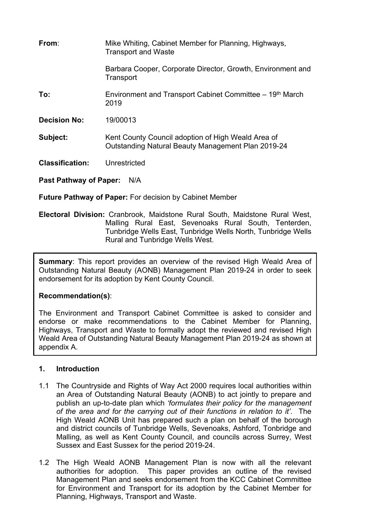| From:                  | Mike Whiting, Cabinet Member for Planning, Highways,<br><b>Transport and Waste</b>                       |
|------------------------|----------------------------------------------------------------------------------------------------------|
|                        | Barbara Cooper, Corporate Director, Growth, Environment and<br>Transport                                 |
| To:                    | Environment and Transport Cabinet Committee – 19th March<br>2019                                         |
| <b>Decision No:</b>    | 19/00013                                                                                                 |
| Subject:               | Kent County Council adoption of High Weald Area of<br>Outstanding Natural Beauty Management Plan 2019-24 |
| <b>Classification:</b> | Unrestricted                                                                                             |
|                        |                                                                                                          |

**Past Pathway of Paper:** N/A

**Future Pathway of Paper:** For decision by Cabinet Member

**Electoral Division:** Cranbrook, Maidstone Rural South, Maidstone Rural West, Malling Rural East, Sevenoaks Rural South, Tenterden, Tunbridge Wells East, Tunbridge Wells North, Tunbridge Wells Rural and Tunbridge Wells West.

**Summary**: This report provides an overview of the revised High Weald Area of Outstanding Natural Beauty (AONB) Management Plan 2019-24 in order to seek endorsement for its adoption by Kent County Council.

# **Recommendation(s)**:

The Environment and Transport Cabinet Committee is asked to consider and endorse or make recommendations to the Cabinet Member for Planning, Highways, Transport and Waste to formally adopt the reviewed and revised High Weald Area of Outstanding Natural Beauty Management Plan 2019-24 as shown at appendix A.

# **1. Introduction**

- 1.1 The Countryside and Rights of Way Act 2000 requires local authorities within an Area of Outstanding Natural Beauty (AONB) to act jointly to prepare and publish an up-to-date plan which *'formulates their policy for the management of the area and for the carrying out of their functions in relation to it'*. The High Weald AONB Unit has prepared such a plan on behalf of the borough and district councils of Tunbridge Wells, Sevenoaks, Ashford, Tonbridge and Malling, as well as Kent County Council, and councils across Surrey, West Sussex and East Sussex for the period 2019-24.
- 1.2 The High Weald AONB Management Plan is now with all the relevant authorities for adoption. This paper provides an outline of the revised Management Plan and seeks endorsement from the KCC Cabinet Committee for Environment and Transport for its adoption by the Cabinet Member for Planning, Highways, Transport and Waste.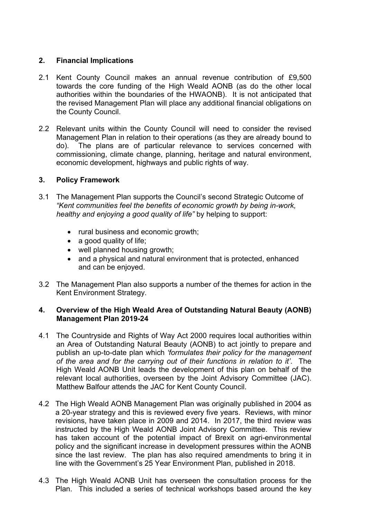## **2. Financial Implications**

- 2.1 Kent County Council makes an annual revenue contribution of £9,500 towards the core funding of the High Weald AONB (as do the other local authorities within the boundaries of the HWAONB). It is not anticipated that the revised Management Plan will place any additional financial obligations on the County Council.
- 2.2 Relevant units within the County Council will need to consider the revised Management Plan in relation to their operations (as they are already bound to do). The plans are of particular relevance to services concerned with commissioning, climate change, planning, heritage and natural environment, economic development, highways and public rights of way.

## **3. Policy Framework**

- 3.1 The Management Plan supports the Council's second Strategic Outcome of *"Kent communities feel the benefits of economic growth by being in-work, healthy and enjoying a good quality of life"* by helping to support:
	- rural business and economic growth;
	- a good quality of life:
	- well planned housing growth;
	- and a physical and natural environment that is protected, enhanced and can be enjoyed.
- 3.2 The Management Plan also supports a number of the themes for action in the Kent Environment Strategy.

### **4. Overview of the High Weald Area of Outstanding Natural Beauty (AONB) Management Plan 2019-24**

- 4.1 The Countryside and Rights of Way Act 2000 requires local authorities within an Area of Outstanding Natural Beauty (AONB) to act jointly to prepare and publish an up-to-date plan which *'formulates their policy for the management of the area and for the carrying out of their functions in relation to it'*. The High Weald AONB Unit leads the development of this plan on behalf of the relevant local authorities, overseen by the Joint Advisory Committee (JAC). Matthew Balfour attends the JAC for Kent County Council.
- 4.2 The High Weald AONB Management Plan was originally published in 2004 as a 20-year strategy and this is reviewed every five years. Reviews, with minor revisions, have taken place in 2009 and 2014. In 2017, the third review was instructed by the High Weald AONB Joint Advisory Committee. This review has taken account of the potential impact of Brexit on agri-environmental policy and the significant increase in development pressures within the AONB since the last review. The plan has also required amendments to bring it in line with the Government's 25 Year Environment Plan, published in 2018.
- 4.3 The High Weald AONB Unit has overseen the consultation process for the Plan. This included a series of technical workshops based around the key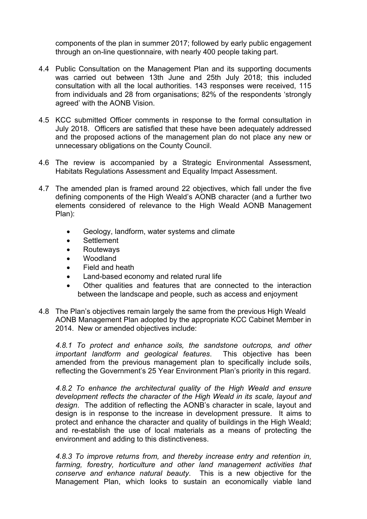components of the plan in summer 2017; followed by early public engagement through an on-line questionnaire, with nearly 400 people taking part.

- 4.4 Public Consultation on the Management Plan and its supporting documents was carried out between 13th June and 25th July 2018; this included consultation with all the local authorities. 143 responses were received, 115 from individuals and 28 from organisations; 82% of the respondents 'strongly agreed' with the AONB Vision.
- 4.5 KCC submitted Officer comments in response to the formal consultation in July 2018. Officers are satisfied that these have been adequately addressed and the proposed actions of the management plan do not place any new or unnecessary obligations on the County Council.
- 4.6 The review is accompanied by a Strategic Environmental Assessment, Habitats Regulations Assessment and Equality Impact Assessment.
- 4.7 The amended plan is framed around 22 objectives, which fall under the five defining components of the High Weald's AONB character (and a further two elements considered of relevance to the High Weald AONB Management Plan):
	- Geology, landform, water systems and climate
	- Settlement
	- Routeways
	- Woodland
	- Field and heath
	- Land-based economy and related rural life
	- Other qualities and features that are connected to the interaction between the landscape and people, such as access and enjoyment
- 4.8 The Plan's objectives remain largely the same from the previous High Weald AONB Management Plan adopted by the appropriate KCC Cabinet Member in 2014. New or amended objectives include:

*4.8.1 To protect and enhance soils, the sandstone outcrops, and other important landform and geological features*. This objective has been amended from the previous management plan to specifically include soils, reflecting the Government's 25 Year Environment Plan's priority in this regard.

*4.8.2 To enhance the architectural quality of the High Weald and ensure development reflects the character of the High Weald in its scale, layout and design*. The addition of reflecting the AONB's character in scale, layout and design is in response to the increase in development pressure. It aims to protect and enhance the character and quality of buildings in the High Weald; and re-establish the use of local materials as a means of protecting the environment and adding to this distinctiveness.

*4.8.3 To improve returns from, and thereby increase entry and retention in, farming, forestry, horticulture and other land management activities that conserve and enhance natural beauty*. This is a new objective for the Management Plan, which looks to sustain an economically viable land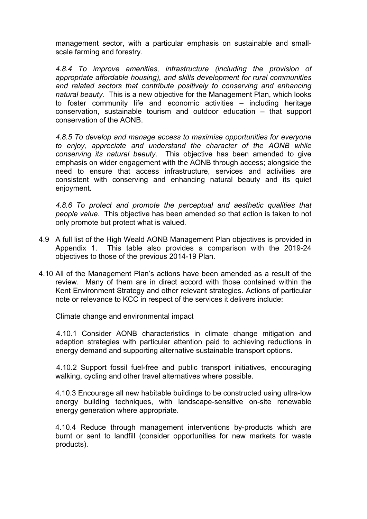management sector, with a particular emphasis on sustainable and smallscale farming and forestry.

*4.8.4 To improve amenities, infrastructure (including the provision of appropriate affordable housing), and skills development for rural communities and related sectors that contribute positively to conserving and enhancing natural beauty.* This is a new objective for the Management Plan, which looks to foster community life and economic activities – including heritage conservation, sustainable tourism and outdoor education – that support conservation of the AONB.

*4.8.5 To develop and manage access to maximise opportunities for everyone to enjoy, appreciate and understand the character of the AONB while conserving its natural beauty*. This objective has been amended to give emphasis on wider engagement with the AONB through access; alongside the need to ensure that access infrastructure, services and activities are consistent with conserving and enhancing natural beauty and its quiet enjoyment.

*4.8.6 To protect and promote the perceptual and aesthetic qualities that people value*. This objective has been amended so that action is taken to not only promote but protect what is valued.

- 4.9 A full list of the High Weald AONB Management Plan objectives is provided in Appendix 1. This table also provides a comparison with the 2019-24 objectives to those of the previous 2014-19 Plan.
- 4.10 All of the Management Plan's actions have been amended as a result of the review. Many of them are in direct accord with those contained within the Kent Environment Strategy and other relevant strategies. Actions of particular note or relevance to KCC in respect of the services it delivers include:

#### Climate change and environmental impact

4.10.1 Consider AONB characteristics in climate change mitigation and adaption strategies with particular attention paid to achieving reductions in energy demand and supporting alternative sustainable transport options.

4.10.2 Support fossil fuel-free and public transport initiatives, encouraging walking, cycling and other travel alternatives where possible.

4.10.3 Encourage all new habitable buildings to be constructed using ultra-low energy building techniques, with landscape-sensitive on-site renewable energy generation where appropriate.

4.10.4 Reduce through management interventions by-products which are burnt or sent to landfill (consider opportunities for new markets for waste products).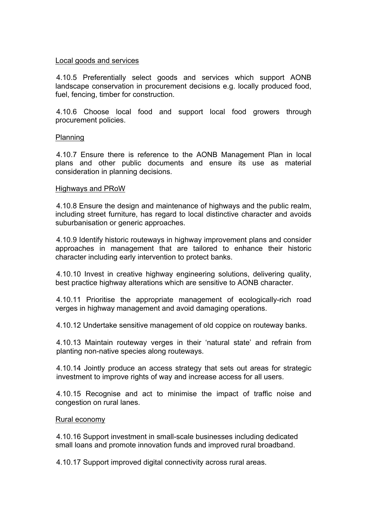#### Local goods and services

4.10.5 Preferentially select goods and services which support AONB landscape conservation in procurement decisions e.g. locally produced food, fuel, fencing, timber for construction.

4.10.6 Choose local food and support local food growers through procurement policies.

#### Planning

4.10.7 Ensure there is reference to the AONB Management Plan in local plans and other public documents and ensure its use as material consideration in planning decisions.

#### Highways and PRoW

4.10.8 Ensure the design and maintenance of highways and the public realm, including street furniture, has regard to local distinctive character and avoids suburbanisation or generic approaches.

4.10.9 Identify historic routeways in highway improvement plans and consider approaches in management that are tailored to enhance their historic character including early intervention to protect banks.

4.10.10 Invest in creative highway engineering solutions, delivering quality, best practice highway alterations which are sensitive to AONB character.

4.10.11 Prioritise the appropriate management of ecologically-rich road verges in highway management and avoid damaging operations.

4.10.12 Undertake sensitive management of old coppice on routeway banks.

4.10.13 Maintain routeway verges in their 'natural state' and refrain from planting non-native species along routeways.

4.10.14 Jointly produce an access strategy that sets out areas for strategic investment to improve rights of way and increase access for all users.

4.10.15 Recognise and act to minimise the impact of traffic noise and congestion on rural lanes.

#### Rural economy

4.10.16 Support investment in small-scale businesses including dedicated small loans and promote innovation funds and improved rural broadband.

4.10.17 Support improved digital connectivity across rural areas.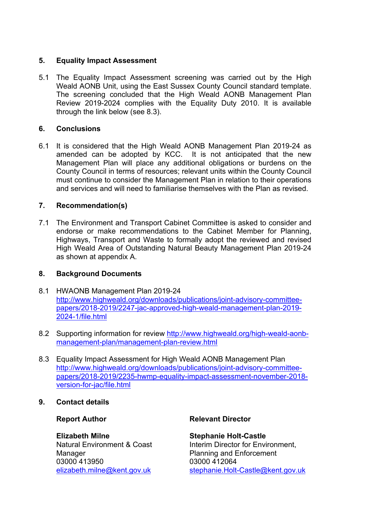## **5. Equality Impact Assessment**

5.1 The Equality Impact Assessment screening was carried out by the High Weald AONB Unit, using the East Sussex County Council standard template. The screening concluded that the High Weald AONB Management Plan Review 2019-2024 complies with the Equality Duty 2010. It is available through the link below (see 8.3).

## **6. Conclusions**

6.1 It is considered that the High Weald AONB Management Plan 2019-24 as amended can be adopted by KCC. It is not anticipated that the new Management Plan will place any additional obligations or burdens on the County Council in terms of resources; relevant units within the County Council must continue to consider the Management Plan in relation to their operations and services and will need to familiarise themselves with the Plan as revised.

## **7. Recommendation(s)**

7.1 The Environment and Transport Cabinet Committee is asked to consider and endorse or make recommendations to the Cabinet Member for Planning, Highways, Transport and Waste to formally adopt the reviewed and revised High Weald Area of Outstanding Natural Beauty Management Plan 2019-24 as shown at appendix A.

## **8. Background Documents**

- 8.1 HWAONB Management Plan 2019-24 [http://www.highweald.org/downloads/publications/joint-advisory-committee](http://www.highweald.org/downloads/publications/joint-advisory-committee-papers/2018-2019/2247-jac-approved-high-weald-management-plan-2019-2024-1/file.html)[papers/2018-2019/2247-jac-approved-high-weald-management-plan-2019-](http://www.highweald.org/downloads/publications/joint-advisory-committee-papers/2018-2019/2247-jac-approved-high-weald-management-plan-2019-2024-1/file.html) [2024-1/file.html](http://www.highweald.org/downloads/publications/joint-advisory-committee-papers/2018-2019/2247-jac-approved-high-weald-management-plan-2019-2024-1/file.html)
- 8.2 Supporting information for review [http://www.highweald.org/high-weald-aonb](http://www.highweald.org/high-weald-aonb-management-plan/management-plan-review.html)[management-plan/management-plan-review.html](http://www.highweald.org/high-weald-aonb-management-plan/management-plan-review.html)
- 8.3 Equality Impact Assessment for High Weald AONB Management Plan [http://www.highweald.org/downloads/publications/joint-advisory-committee](http://www.highweald.org/downloads/publications/joint-advisory-committee-papers/2018-2019/2235-hwmp-equality-impact-assessment-november-2018-version-for-jac/file.html)[papers/2018-2019/2235-hwmp-equality-impact-assessment-november-2018](http://www.highweald.org/downloads/publications/joint-advisory-committee-papers/2018-2019/2235-hwmp-equality-impact-assessment-november-2018-version-for-jac/file.html) [version-for-jac/file.html](http://www.highweald.org/downloads/publications/joint-advisory-committee-papers/2018-2019/2235-hwmp-equality-impact-assessment-november-2018-version-for-jac/file.html)

### **9. Contact details**

### **Report Author**

#### **Elizabeth Milne**

Natural Environment & Coast **Manager** 03000 413950 [elizabeth.milne@kent.gov.uk](mailto:elizabeth.milne@kent.gov.uk)

### **Relevant Director**

**Stephanie Holt-Castle** Interim Director for Environment, Planning and Enforcement 03000 412064 [stephanie.Holt-Castle@kent.gov.uk](mailto:stephanie.Holt-Castle@kent.gov.uk)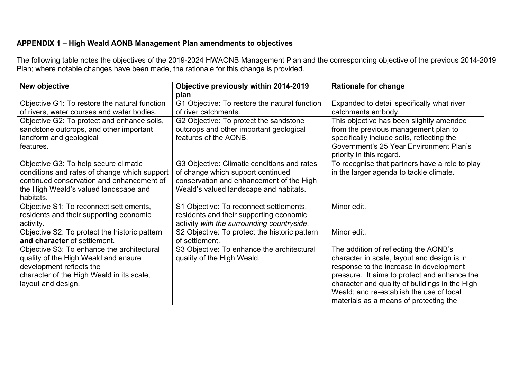# **APPENDIX 1 – High Weald AONB Management Plan amendments to objectives**

The following table notes the objectives of the 2019-2024 HWAONB Management Plan and the corresponding objective of the previous 2014-2019 Plan; where notable changes have been made, the rationale for this change is provided.

| New objective                                                                                                                                                                            | Objective previously within 2014-2019<br>plan                                                                                                                          | <b>Rationale for change</b>                                                                                                                                                                                                                                                                                             |
|------------------------------------------------------------------------------------------------------------------------------------------------------------------------------------------|------------------------------------------------------------------------------------------------------------------------------------------------------------------------|-------------------------------------------------------------------------------------------------------------------------------------------------------------------------------------------------------------------------------------------------------------------------------------------------------------------------|
| Objective G1: To restore the natural function<br>of rivers, water courses and water bodies.                                                                                              | G1 Objective: To restore the natural function<br>of river catchments.                                                                                                  | Expanded to detail specifically what river<br>catchments embody.                                                                                                                                                                                                                                                        |
| Objective G2: To protect and enhance soils,<br>sandstone outcrops, and other important<br>landform and geological<br>features.                                                           | G2 Objective: To protect the sandstone<br>outcrops and other important geological<br>features of the AONB.                                                             | This objective has been slightly amended<br>from the previous management plan to<br>specifically include soils, reflecting the<br>Government's 25 Year Environment Plan's<br>priority in this regard.                                                                                                                   |
| Objective G3: To help secure climatic<br>conditions and rates of change which support<br>continued conservation and enhancement of<br>the High Weald's valued landscape and<br>habitats. | G3 Objective: Climatic conditions and rates<br>of change which support continued<br>conservation and enhancement of the High<br>Weald's valued landscape and habitats. | To recognise that partners have a role to play<br>in the larger agenda to tackle climate.                                                                                                                                                                                                                               |
| Objective S1: To reconnect settlements,<br>residents and their supporting economic<br>activity.                                                                                          | S1 Objective: To reconnect settlements,<br>residents and their supporting economic<br>activity with the surrounding countryside.                                       | Minor edit.                                                                                                                                                                                                                                                                                                             |
| Objective S2: To protect the historic pattern<br>and character of settlement.                                                                                                            | S2 Objective: To protect the historic pattern<br>of settlement.                                                                                                        | Minor edit.                                                                                                                                                                                                                                                                                                             |
| Objective S3: To enhance the architectural<br>quality of the High Weald and ensure<br>development reflects the<br>character of the High Weald in its scale,<br>layout and design.        | S3 Objective: To enhance the architectural<br>quality of the High Weald.                                                                                               | The addition of reflecting the AONB's<br>character in scale, layout and design is in<br>response to the increase in development<br>pressure. It aims to protect and enhance the<br>character and quality of buildings in the High<br>Weald; and re-establish the use of local<br>materials as a means of protecting the |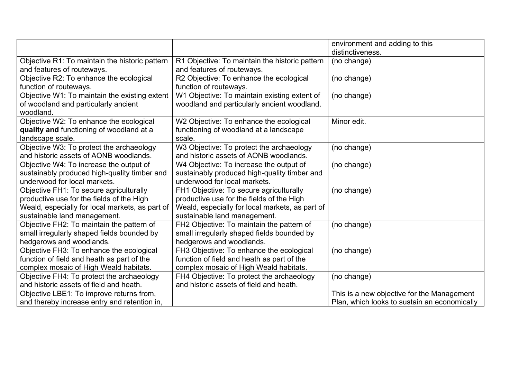|                                                 |                                                 | environment and adding to this               |
|-------------------------------------------------|-------------------------------------------------|----------------------------------------------|
|                                                 |                                                 | distinctiveness.                             |
| Objective R1: To maintain the historic pattern  | R1 Objective: To maintain the historic pattern  | (no change)                                  |
| and features of routeways.                      | and features of routeways.                      |                                              |
| Objective R2: To enhance the ecological         | R2 Objective: To enhance the ecological         | (no change)                                  |
| function of routeways.                          | function of routeways.                          |                                              |
| Objective W1: To maintain the existing extent   | W1 Objective: To maintain existing extent of    | (no change)                                  |
| of woodland and particularly ancient            | woodland and particularly ancient woodland.     |                                              |
| woodland.                                       |                                                 |                                              |
| Objective W2: To enhance the ecological         | W2 Objective: To enhance the ecological         | Minor edit.                                  |
| quality and functioning of woodland at a        | functioning of woodland at a landscape          |                                              |
| landscape scale.                                | scale.                                          |                                              |
| Objective W3: To protect the archaeology        | W3 Objective: To protect the archaeology        | (no change)                                  |
| and historic assets of AONB woodlands.          | and historic assets of AONB woodlands.          |                                              |
| Objective W4: To increase the output of         | W4 Objective: To increase the output of         | (no change)                                  |
| sustainably produced high-quality timber and    | sustainably produced high-quality timber and    |                                              |
| underwood for local markets.                    | underwood for local markets.                    |                                              |
| Objective FH1: To secure agriculturally         | FH1 Objective: To secure agriculturally         | (no change)                                  |
| productive use for the fields of the High       | productive use for the fields of the High       |                                              |
| Weald, especially for local markets, as part of | Weald, especially for local markets, as part of |                                              |
| sustainable land management.                    | sustainable land management.                    |                                              |
| Objective FH2: To maintain the pattern of       | FH2 Objective: To maintain the pattern of       | (no change)                                  |
| small irregularly shaped fields bounded by      | small irregularly shaped fields bounded by      |                                              |
| hedgerows and woodlands.                        | hedgerows and woodlands.                        |                                              |
| Objective FH3: To enhance the ecological        | FH3 Objective: To enhance the ecological        | (no change)                                  |
| function of field and heath as part of the      | function of field and heath as part of the      |                                              |
| complex mosaic of High Weald habitats.          | complex mosaic of High Weald habitats.          |                                              |
| Objective FH4: To protect the archaeology       | FH4 Objective: To protect the archaeology       | (no change)                                  |
| and historic assets of field and heath.         | and historic assets of field and heath.         |                                              |
| Objective LBE1: To improve returns from,        |                                                 | This is a new objective for the Management   |
| and thereby increase entry and retention in,    |                                                 | Plan, which looks to sustain an economically |